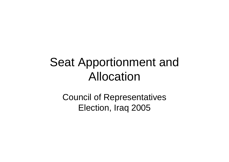### Seat Apportionment and Allocation

Council of Representatives Election, Iraq 2005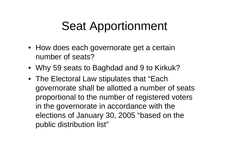## Seat Apportionment

- How does each governorate get a certain number of seats?
- Why 59 seats to Baghdad and 9 to Kirkuk?
- The Electoral Law stipulates that "Each governorate shall be allotted a number of seats proportional to the number of registered voters in the governorate in accordance with the elections of January 30, 2005 "based on the public distribution list"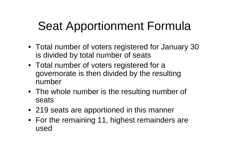# Seat Apportionment Formula

- Total number of voters registered for January 30 is divided by total number of seats
- Total number of voters registered for a governorate is then divided by the resulting number
- The whole number is the resulting number of seats
- 219 seats are apportioned in this manner
- For the remaining 11, highest remainders are used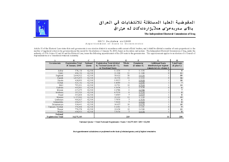

#### المفوضية العليا المستقلة للانتخابات في العراق بالأى سەربەخوى ھەلابۋاردنەكان لە عيراق

The Independent Electoral Commission of Iraq

#### IECI Decision xx/2005 Apportionment of Seats to Governorates

Article 15 of the Electoral Law states that each governorate is one election district in accordance with current official borders, and it shall be allotted a number of seats proportional to the number of registered voters in the governorate per the record for the elections of January 30, 2005, based on the ration card system. The Independent Electoral Commission of Iraq, under the authority of CPA Orders 92 and 96 and the Electoral Law, issues the following apportionment of the 230 seats to the governorates. This apportionment applies to an election of a Council of Representatives or a Transitional National Assembly.

| А                                     | B                                            | C                 | D                                                                                  | E              | F                                   | G                                                                            | H                                    |
|---------------------------------------|----------------------------------------------|-------------------|------------------------------------------------------------------------------------|----------------|-------------------------------------|------------------------------------------------------------------------------|--------------------------------------|
| Governorate                           | <b>Registration Total</b><br>30 January 2005 | National<br>Quota | Registration Total divided<br>by National Quota $(B / C)$ ,<br>or Fractional Seats | Whole<br>Seats | Remainder<br>$(D \text{ minus } E)$ | <b>Additional Seats</b><br>distributed per highest<br>remainders in column E | <b>Total Seats</b><br>$(E$ plus $G)$ |
| Anbar                                 | 574,138                                      | 62,518            | 9.1836                                                                             | 9              | 0.1836                              |                                                                              | 9                                    |
| <b>Babil</b>                          | 694,192                                      | 62,518            | 11.104                                                                             | 11             | 0.1040                              |                                                                              | 11                                   |
| Baghdad                               | 3,664,922                                    | 62,518            | 58.622                                                                             | 58             | 0.6220                              |                                                                              | 59                                   |
| Basrah                                | 1,035,055                                    | 62,518            | 16.556                                                                             | 16             | 0.5660                              |                                                                              | 16                                   |
| Diyala                                | 624,099                                      | 62,518            | 9.9827                                                                             | 9              | 0.9828                              |                                                                              | 10                                   |
| Dohuk                                 | 429,182                                      | 62,518            | 6.8649                                                                             | 6              | 0.8649                              |                                                                              | $\overline{7}$                       |
| Erbil                                 | 795,291                                      | 62,518            | 12.721                                                                             | 12             | 0.7210                              |                                                                              | 13                                   |
| Karbala                               | 409,081                                      | 62,518            | 6.5434                                                                             | 6              | 0.5434                              | $\mathbf{0}$                                                                 | 6                                    |
| Missan                                | 417,273                                      | 62,518            | 6.6744                                                                             | 6              | 0.6744                              |                                                                              | 7                                    |
| Muthana                               | 295,326                                      | 62,518            | 4.7239                                                                             | 4              | 0.7239                              |                                                                              | 5                                    |
| Najaf                                 | 493,808                                      | 62,518            | 7.8987                                                                             |                | 0.8987                              |                                                                              | 8                                    |
| Ninewa                                | 1,197,940                                    | 62,518            | 19.162                                                                             | 19             | 0.1620                              | $\Omega$                                                                     | 19                                   |
| Qadissiya                             | 486,827                                      | 62,518            | 7.7870                                                                             |                | 0.7870                              |                                                                              | 8                                    |
| Salahalddin                           | 498,017                                      | 62,518            | 7.9660                                                                             | 7              | 0.9660                              |                                                                              | 8                                    |
| Sulaymaniya                           | 914,441                                      | 62,518            | 14.627                                                                             | 14             | 0.6270                              |                                                                              | 15                                   |
| Tameem / Kirkuk                       | 576,048                                      | 62,518            | 9.2141                                                                             | 9              | 0.2141                              |                                                                              | 9                                    |
| Theqar                                | 778,574                                      | 62,518            | 12.454                                                                             | 12             | 0.4540                              |                                                                              | 12                                   |
| Wassit                                | 494,955                                      | 62,518            | 7.9170                                                                             | 7              | 0.9170                              |                                                                              | 8                                    |
| National<br><b>Registration Total</b> | 14,379,169                                   |                   |                                                                                    | 219            |                                     | 11                                                                           | 230                                  |

National Quota = Total National Registrants / Seats = 14,379,169 / 230 = 62,518

Seat apportionment calculations are performed on the basis of obtained quotas, and of highest remainders.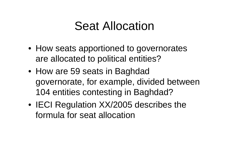#### Seat Allocation

- How seats apportioned to governorates are allocated to political entities?
- How are 59 seats in Baghdad governorate, for example, divided between 104 entities contesting in Baghdad?
- IECI Regulation XX/2005 describes the formula for seat allocation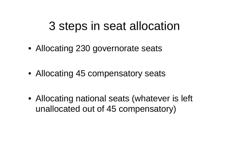#### 3 steps in seat allocation

- Allocating 230 governorate seats
- Allocating 45 compensatory seats
- Allocating national seats (whatever is left unallocated out of 45 compensatory)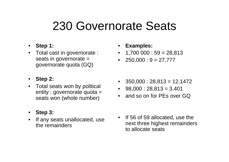#### 230 Governorate Seats

- **Step 1:**
- Total cast in governorate : seats in governorate = governorate quota (GQ)
- **Step 2:**
- Total seats won by political entity : governorate quota = seats won (whole number)
- **Step 3:**
- If any seats unallocated, use the remainders
- **Examples:**
- 1,700 000 : 59 = 28,813
- • $250,000 : 9 = 27,777$
- 350,000 : 28,813 = 12.1472
- 98,000 : 28,813 = 3.401
- •and so on for PEs over GQ
- If 56 of 59 allocated, use the next three highest remainders to allocate seats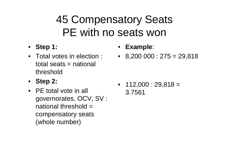#### 45 Compensatory Seats PE with no seats won

- **Step 1:**
- Total votes in election : total seats = national threshold
- **Step 2:**
- PE total vote in all governorates, OCV, SV : national threshold = compensatory seats (whole number)
- **Example**:
- 8,200 000 : 275 = 29,818

 $\bullet$  112,000 : 29,818 = 3.7561